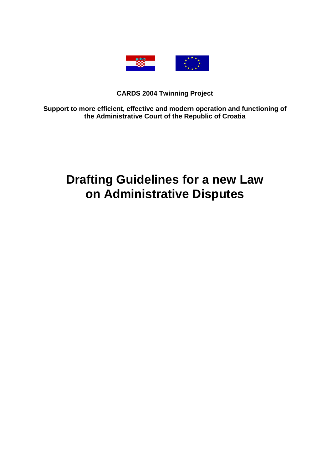

# **CARDS 2004 Twinning Project**

**Support to more efficient, effective and modern operation and functioning of the Administrative Court of the Republic of Croatia** 

# **Drafting Guidelines for a new Law on Administrative Disputes**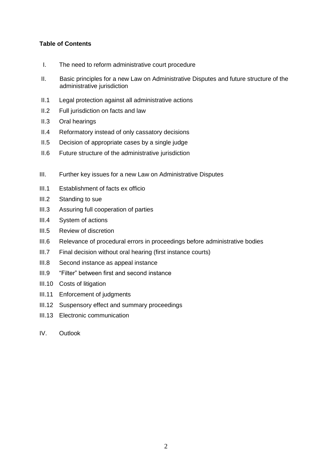## **Table of Contents**

- I. The need to reform administrative court procedure
- II. Basic principles for a new Law on Administrative Disputes and future structure of the administrative jurisdiction
- II.1 Legal protection against all administrative actions
- II.2 Full jurisdiction on facts and law
- II.3 Oral hearings
- II.4 Reformatory instead of only cassatory decisions
- II.5 Decision of appropriate cases by a single judge
- II.6 Future structure of the administrative jurisdiction
- III. Further key issues for a new Law on Administrative Disputes
- III.1 Establishment of facts ex officio
- III.2 Standing to sue
- III.3 Assuring full cooperation of parties
- III.4 System of actions
- III.5 Review of discretion
- III.6 Relevance of procedural errors in proceedings before administrative bodies
- III.7 Final decision without oral hearing (first instance courts)
- III.8 Second instance as appeal instance
- III.9 "Filter" between first and second instance
- III.10 Costs of litigation
- III.11 Enforcement of judgments
- III.12 Suspensory effect and summary proceedings
- III.13 Electronic communication
- IV. Outlook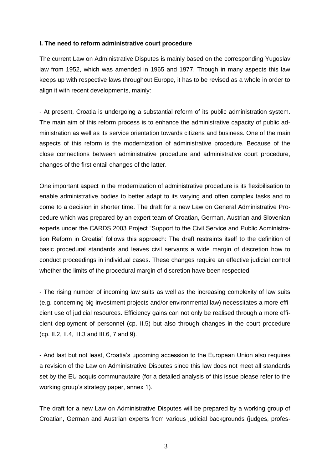## **I. The need to reform administrative court procedure**

The current Law on Administrative Disputes is mainly based on the corresponding Yugoslav law from 1952, which was amended in 1965 and 1977. Though in many aspects this law keeps up with respective laws throughout Europe, it has to be revised as a whole in order to align it with recent developments, mainly:

- At present, Croatia is undergoing a substantial reform of its public administration system. The main aim of this reform process is to enhance the administrative capacity of public administration as well as its service orientation towards citizens and business. One of the main aspects of this reform is the modernization of administrative procedure. Because of the close connections between administrative procedure and administrative court procedure, changes of the first entail changes of the latter.

One important aspect in the modernization of administrative procedure is its flexibilisation to enable administrative bodies to better adapt to its varying and often complex tasks and to come to a decision in shorter time. The draft for a new Law on General Administrative Procedure which was prepared by an expert team of Croatian, German, Austrian and Slovenian experts under the CARDS 2003 Project "Support to the Civil Service and Public Administration Reform in Croatia" follows this approach: The draft restraints itself to the definition of basic procedural standards and leaves civil servants a wide margin of discretion how to conduct proceedings in individual cases. These changes require an effective judicial control whether the limits of the procedural margin of discretion have been respected.

- The rising number of incoming law suits as well as the increasing complexity of law suits (e.g. concerning big investment projects and/or environmental law) necessitates a more efficient use of judicial resources. Efficiency gains can not only be realised through a more efficient deployment of personnel (cp. II.5) but also through changes in the court procedure (cp. II.2, II.4, III.3 and III.6, 7 and 9).

- And last but not least, Croatia's upcoming accession to the European Union also requires a revision of the Law on Administrative Disputes since this law does not meet all standards set by the EU acquis communautaire (for a detailed analysis of this issue please refer to the working group's strategy paper, annex 1).

The draft for a new Law on Administrative Disputes will be prepared by a working group of Croatian, German and Austrian experts from various judicial backgrounds (judges, profes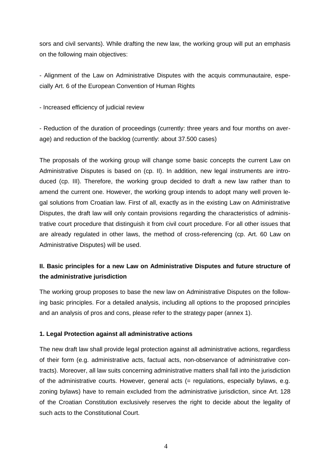sors and civil servants). While drafting the new law, the working group will put an emphasis on the following main objectives:

- Alignment of the Law on Administrative Disputes with the acquis communautaire, especially Art. 6 of the European Convention of Human Rights

- Increased efficiency of judicial review

- Reduction of the duration of proceedings (currently: three years and four months on average) and reduction of the backlog (currently: about 37.500 cases)

The proposals of the working group will change some basic concepts the current Law on Administrative Disputes is based on (cp. II). In addition, new legal instruments are introduced (cp. III). Therefore, the working group decided to draft a new law rather than to amend the current one. However, the working group intends to adopt many well proven legal solutions from Croatian law. First of all, exactly as in the existing Law on Administrative Disputes, the draft law will only contain provisions regarding the characteristics of administrative court procedure that distinguish it from civil court procedure. For all other issues that are already regulated in other laws, the method of cross-referencing (cp. Art. 60 Law on Administrative Disputes) will be used.

## **II. Basic principles for a new Law on Administrative Disputes and future structure of the administrative jurisdiction**

The working group proposes to base the new law on Administrative Disputes on the following basic principles. For a detailed analysis, including all options to the proposed principles and an analysis of pros and cons, please refer to the strategy paper (annex 1).

## **1. Legal Protection against all administrative actions**

The new draft law shall provide legal protection against all administrative actions, regardless of their form (e.g. administrative acts, factual acts, non-observance of administrative contracts). Moreover, all law suits concerning administrative matters shall fall into the jurisdiction of the administrative courts. However, general acts (= regulations, especially bylaws, e.g. zoning bylaws) have to remain excluded from the administrative jurisdiction, since Art. 128 of the Croatian Constitution exclusively reserves the right to decide about the legality of such acts to the Constitutional Court.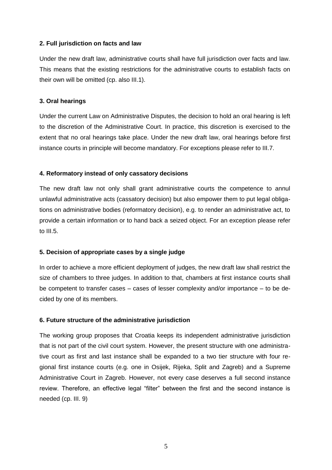## **2. Full jurisdiction on facts and law**

Under the new draft law, administrative courts shall have full jurisdiction over facts and law. This means that the existing restrictions for the administrative courts to establish facts on their own will be omitted (cp. also III.1).

## **3. Oral hearings**

Under the current Law on Administrative Disputes, the decision to hold an oral hearing is left to the discretion of the Administrative Court. In practice, this discretion is exercised to the extent that no oral hearings take place. Under the new draft law, oral hearings before first instance courts in principle will become mandatory. For exceptions please refer to III.7.

## **4. Reformatory instead of only cassatory decisions**

The new draft law not only shall grant administrative courts the competence to annul unlawful administrative acts (cassatory decision) but also empower them to put legal obligations on administrative bodies (reformatory decision), e.g. to render an administrative act, to provide a certain information or to hand back a seized object. For an exception please refer to III.5.

## **5. Decision of appropriate cases by a single judge**

In order to achieve a more efficient deployment of judges, the new draft law shall restrict the size of chambers to three judges. In addition to that, chambers at first instance courts shall be competent to transfer cases – cases of lesser complexity and/or importance – to be decided by one of its members.

## **6. Future structure of the administrative jurisdiction**

The working group proposes that Croatia keeps its independent administrative jurisdiction that is not part of the civil court system. However, the present structure with one administrative court as first and last instance shall be expanded to a two tier structure with four regional first instance courts (e.g. one in Osijek, Rijeka, Split and Zagreb) and a Supreme Administrative Court in Zagreb. However, not every case deserves a full second instance review. Therefore, an effective legal "filter" between the first and the second instance is needed (cp. III. 9)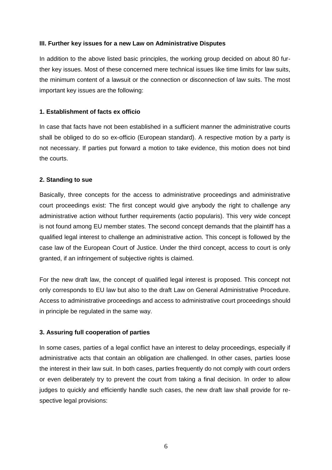## **III. Further key issues for a new Law on Administrative Disputes**

In addition to the above listed basic principles, the working group decided on about 80 further key issues. Most of these concerned mere technical issues like time limits for law suits, the minimum content of a lawsuit or the connection or disconnection of law suits. The most important key issues are the following:

## **1. Establishment of facts ex officio**

In case that facts have not been established in a sufficient manner the administrative courts shall be obliged to do so ex-officio (European standard). A respective motion by a party is not necessary. If parties put forward a motion to take evidence, this motion does not bind the courts.

## **2. Standing to sue**

Basically, three concepts for the access to administrative proceedings and administrative court proceedings exist: The first concept would give anybody the right to challenge any administrative action without further requirements (actio popularis). This very wide concept is not found among EU member states. The second concept demands that the plaintiff has a qualified legal interest to challenge an administrative action. This concept is followed by the case law of the European Court of Justice. Under the third concept, access to court is only granted, if an infringement of subjective rights is claimed.

For the new draft law, the concept of qualified legal interest is proposed. This concept not only corresponds to EU law but also to the draft Law on General Administrative Procedure. Access to administrative proceedings and access to administrative court proceedings should in principle be regulated in the same way.

## **3. Assuring full cooperation of parties**

In some cases, parties of a legal conflict have an interest to delay proceedings, especially if administrative acts that contain an obligation are challenged. In other cases, parties loose the interest in their law suit. In both cases, parties frequently do not comply with court orders or even deliberately try to prevent the court from taking a final decision. In order to allow judges to quickly and efficiently handle such cases, the new draft law shall provide for respective legal provisions: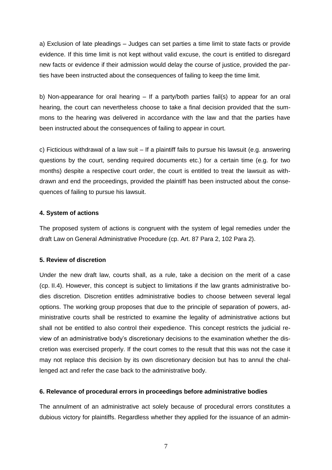a) Exclusion of late pleadings – Judges can set parties a time limit to state facts or provide evidence. If this time limit is not kept without valid excuse, the court is entitled to disregard new facts or evidence if their admission would delay the course of justice, provided the parties have been instructed about the consequences of failing to keep the time limit.

b) Non-appearance for oral hearing – If a party/both parties fail(s) to appear for an oral hearing, the court can nevertheless choose to take a final decision provided that the summons to the hearing was delivered in accordance with the law and that the parties have been instructed about the consequences of failing to appear in court.

c) Ficticious withdrawal of a law suit – If a plaintiff fails to pursue his lawsuit (e.g. answering questions by the court, sending required documents etc.) for a certain time (e.g. for two months) despite a respective court order, the court is entitled to treat the lawsuit as withdrawn and end the proceedings, provided the plaintiff has been instructed about the consequences of failing to pursue his lawsuit.

#### **4. System of actions**

The proposed system of actions is congruent with the system of legal remedies under the draft Law on General Administrative Procedure (cp. Art. 87 Para 2, 102 Para 2).

## **5. Review of discretion**

Under the new draft law, courts shall, as a rule, take a decision on the merit of a case (cp. II.4). However, this concept is subject to limitations if the law grants administrative bodies discretion. Discretion entitles administrative bodies to choose between several legal options. The working group proposes that due to the principle of separation of powers, administrative courts shall be restricted to examine the legality of administrative actions but shall not be entitled to also control their expedience. This concept restricts the judicial review of an administrative body's discretionary decisions to the examination whether the discretion was exercised properly. If the court comes to the result that this was not the case it may not replace this decision by its own discretionary decision but has to annul the challenged act and refer the case back to the administrative body.

#### **6. Relevance of procedural errors in proceedings before administrative bodies**

The annulment of an administrative act solely because of procedural errors constitutes a dubious victory for plaintiffs. Regardless whether they applied for the issuance of an admin-

7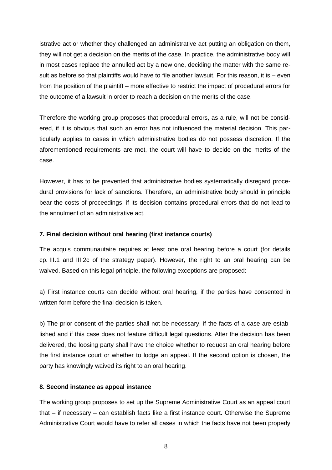istrative act or whether they challenged an administrative act putting an obligation on them, they will not get a decision on the merits of the case. In practice, the administrative body will in most cases replace the annulled act by a new one, deciding the matter with the same result as before so that plaintiffs would have to file another lawsuit. For this reason, it is – even from the position of the plaintiff – more effective to restrict the impact of procedural errors for the outcome of a lawsuit in order to reach a decision on the merits of the case.

Therefore the working group proposes that procedural errors, as a rule, will not be considered, if it is obvious that such an error has not influenced the material decision. This particularly applies to cases in which administrative bodies do not possess discretion. If the aforementioned requirements are met, the court will have to decide on the merits of the case.

However, it has to be prevented that administrative bodies systematically disregard procedural provisions for lack of sanctions. Therefore, an administrative body should in principle bear the costs of proceedings, if its decision contains procedural errors that do not lead to the annulment of an administrative act.

#### **7. Final decision without oral hearing (first instance courts)**

The acquis communautaire requires at least one oral hearing before a court (for details cp. III.1 and III.2c of the strategy paper). However, the right to an oral hearing can be waived. Based on this legal principle, the following exceptions are proposed:

a) First instance courts can decide without oral hearing, if the parties have consented in written form before the final decision is taken.

b) The prior consent of the parties shall not be necessary, if the facts of a case are established and if this case does not feature difficult legal questions. After the decision has been delivered, the loosing party shall have the choice whether to request an oral hearing before the first instance court or whether to lodge an appeal. If the second option is chosen, the party has knowingly waived its right to an oral hearing.

#### **8. Second instance as appeal instance**

The working group proposes to set up the Supreme Administrative Court as an appeal court that – if necessary – can establish facts like a first instance court. Otherwise the Supreme Administrative Court would have to refer all cases in which the facts have not been properly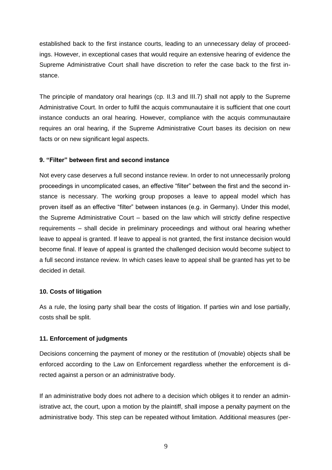established back to the first instance courts, leading to an unnecessary delay of proceedings. However, in exceptional cases that would require an extensive hearing of evidence the Supreme Administrative Court shall have discretion to refer the case back to the first instance.

The principle of mandatory oral hearings (cp. II.3 and III.7) shall not apply to the Supreme Administrative Court. In order to fulfil the acquis communautaire it is sufficient that one court instance conducts an oral hearing. However, compliance with the acquis communautaire requires an oral hearing, if the Supreme Administrative Court bases its decision on new facts or on new significant legal aspects.

#### **9. "Filter" between first and second instance**

Not every case deserves a full second instance review. In order to not unnecessarily prolong proceedings in uncomplicated cases, an effective "filter" between the first and the second instance is necessary. The working group proposes a leave to appeal model which has proven itself as an effective "filter" between instances (e.g. in Germany). Under this model, the Supreme Administrative Court – based on the law which will strictly define respective requirements – shall decide in preliminary proceedings and without oral hearing whether leave to appeal is granted. If leave to appeal is not granted, the first instance decision would become final. If leave of appeal is granted the challenged decision would become subject to a full second instance review. In which cases leave to appeal shall be granted has yet to be decided in detail.

#### **10. Costs of litigation**

As a rule, the losing party shall bear the costs of litigation. If parties win and lose partially, costs shall be split.

#### **11. Enforcement of judgments**

Decisions concerning the payment of money or the restitution of (movable) objects shall be enforced according to the Law on Enforcement regardless whether the enforcement is directed against a person or an administrative body.

If an administrative body does not adhere to a decision which obliges it to render an administrative act, the court, upon a motion by the plaintiff, shall impose a penalty payment on the administrative body. This step can be repeated without limitation. Additional measures (per-

9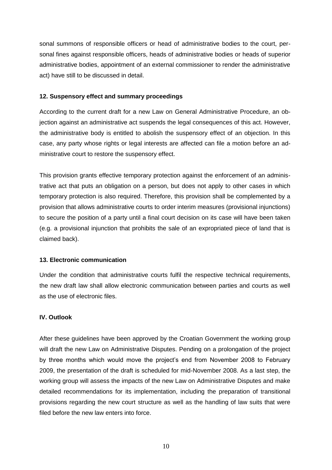sonal summons of responsible officers or head of administrative bodies to the court, personal fines against responsible officers, heads of administrative bodies or heads of superior administrative bodies, appointment of an external commissioner to render the administrative act) have still to be discussed in detail.

## **12. Suspensory effect and summary proceedings**

According to the current draft for a new Law on General Administrative Procedure, an objection against an administrative act suspends the legal consequences of this act. However, the administrative body is entitled to abolish the suspensory effect of an objection. In this case, any party whose rights or legal interests are affected can file a motion before an administrative court to restore the suspensory effect.

This provision grants effective temporary protection against the enforcement of an administrative act that puts an obligation on a person, but does not apply to other cases in which temporary protection is also required. Therefore, this provision shall be complemented by a provision that allows administrative courts to order interim measures (provisional injunctions) to secure the position of a party until a final court decision on its case will have been taken (e.g. a provisional injunction that prohibits the sale of an expropriated piece of land that is claimed back).

#### **13. Electronic communication**

Under the condition that administrative courts fulfil the respective technical requirements, the new draft law shall allow electronic communication between parties and courts as well as the use of electronic files.

## **IV. Outlook**

After these guidelines have been approved by the Croatian Government the working group will draft the new Law on Administrative Disputes. Pending on a prolongation of the project by three months which would move the project's end from November 2008 to February 2009, the presentation of the draft is scheduled for mid-November 2008. As a last step, the working group will assess the impacts of the new Law on Administrative Disputes and make detailed recommendations for its implementation, including the preparation of transitional provisions regarding the new court structure as well as the handling of law suits that were filed before the new law enters into force.